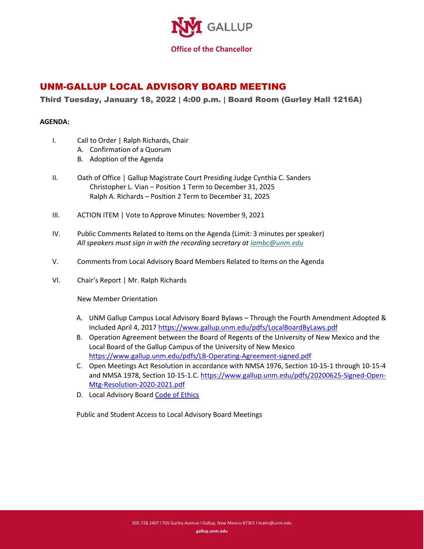

## UNM-GALLUP LOCAL ADVISORY BOARD MEETING

## Third Tuesday, January 18, 2022 | 4:00 p.m. | Board Room (Gurley Hall 1216A)

## **AGENDA:**

- I. Call to Order | Ralph Richards, Chair
	- A. Confirmation of a Quorum
	- B. Adoption of the Agenda
- II. Oath of Office | Gallup Magistrate Court Presiding Judge Cynthia C. Sanders Christopher L. Vian – Position 1 Term to December 31, 2025 Ralph A. Richards – Position 2 Term to December 31, 2025
- III. ACTION ITEM | Vote to Approve Minutes: November 9, 2021
- IV. Public Comments Related to Items on the Agenda (Limit: 3 minutes per speaker) *All speakers must sign in with the recording secretary at lambc@unm.edu*
- V. Comments from Local Advisory Board Members Related to Items on the Agenda
- VI. Chair's Report | Mr. Ralph Richards

New Member Orientation

- A. UNM Gallup Campus Local Advisory Board Bylaws Through the Fourth Amendment Adopted & Included April 4, 2017 https://www.gallup.unm.edu/pdfs/LocalBoardByLaws.pdf
- B. Operation Agreement between the Board of Regents of the University of New Mexico and the Local Board of the Gallup Campus of the University of New Mexico https://www.gallup.unm.edu/pdfs/LB-Operating-Agreement-signed.pdf
- C. Open Meetings Act Resolution in accordance with NMSA 1976, Section 10-15-1 through 10-15-4 and NMSA 1978, Section 10-15-1.C. https://www.gallup.unm.edu/pdfs/20200625-Signed-Open-Mtg-Resolution-2020-2021.pdf
- D. Local Advisory Board Code of Ethics

Public and Student Access to Local Advisory Board Meetings